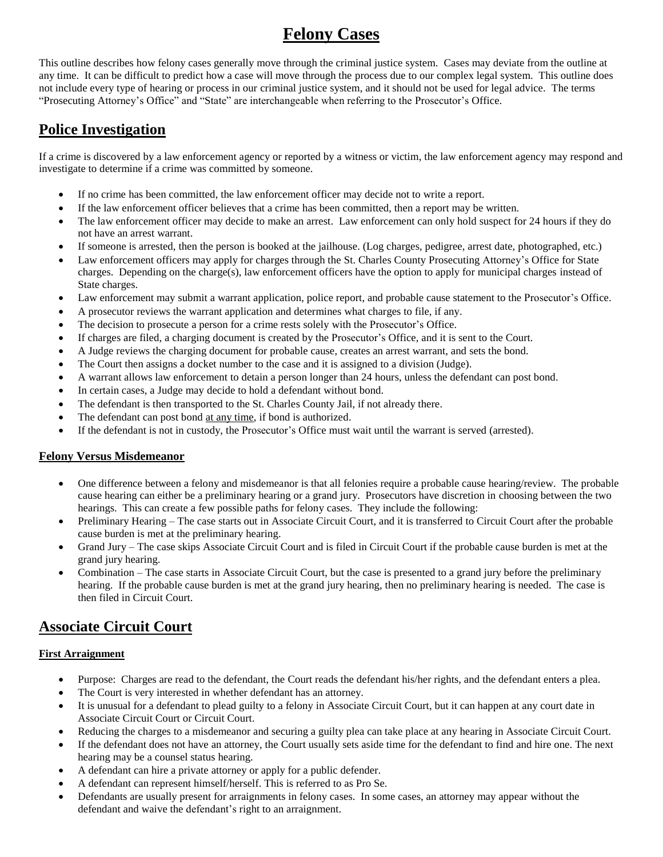# **Felony Cases**

This outline describes how felony cases generally move through the criminal justice system. Cases may deviate from the outline at any time. It can be difficult to predict how a case will move through the process due to our complex legal system. This outline does not include every type of hearing or process in our criminal justice system, and it should not be used for legal advice. The terms "Prosecuting Attorney's Office" and "State" are interchangeable when referring to the Prosecutor's Office.

# **Police Investigation**

If a crime is discovered by a law enforcement agency or reported by a witness or victim, the law enforcement agency may respond and investigate to determine if a crime was committed by someone.

- If no crime has been committed, the law enforcement officer may decide not to write a report.
- If the law enforcement officer believes that a crime has been committed, then a report may be written.
- The law enforcement officer may decide to make an arrest. Law enforcement can only hold suspect for 24 hours if they do not have an arrest warrant.
- If someone is arrested, then the person is booked at the jailhouse. (Log charges, pedigree, arrest date, photographed, etc.)
- Law enforcement officers may apply for charges through the St. Charles County Prosecuting Attorney's Office for State charges. Depending on the charge(s), law enforcement officers have the option to apply for municipal charges instead of State charges.
- Law enforcement may submit a warrant application, police report, and probable cause statement to the Prosecutor's Office.
- A prosecutor reviews the warrant application and determines what charges to file, if any.
- The decision to prosecute a person for a crime rests solely with the Prosecutor's Office.
- If charges are filed, a charging document is created by the Prosecutor's Office, and it is sent to the Court.
- A Judge reviews the charging document for probable cause, creates an arrest warrant, and sets the bond.
- The Court then assigns a docket number to the case and it is assigned to a division (Judge).
- A warrant allows law enforcement to detain a person longer than 24 hours, unless the defendant can post bond.
- In certain cases, a Judge may decide to hold a defendant without bond.
- The defendant is then transported to the St. Charles County Jail, if not already there.
- The defendant can post bond at any time, if bond is authorized.
- If the defendant is not in custody, the Prosecutor's Office must wait until the warrant is served (arrested).

# **Felony Versus Misdemeanor**

- One difference between a felony and misdemeanor is that all felonies require a probable cause hearing/review. The probable cause hearing can either be a preliminary hearing or a grand jury. Prosecutors have discretion in choosing between the two hearings. This can create a few possible paths for felony cases. They include the following:
- Preliminary Hearing The case starts out in Associate Circuit Court, and it is transferred to Circuit Court after the probable cause burden is met at the preliminary hearing.
- Grand Jury The case skips Associate Circuit Court and is filed in Circuit Court if the probable cause burden is met at the grand jury hearing.
- Combination The case starts in Associate Circuit Court, but the case is presented to a grand jury before the preliminary hearing. If the probable cause burden is met at the grand jury hearing, then no preliminary hearing is needed. The case is then filed in Circuit Court.

# **Associate Circuit Court**

## **First Arraignment**

- Purpose: Charges are read to the defendant, the Court reads the defendant his/her rights, and the defendant enters a plea.
- The Court is very interested in whether defendant has an attorney.
- It is unusual for a defendant to plead guilty to a felony in Associate Circuit Court, but it can happen at any court date in Associate Circuit Court or Circuit Court.
- Reducing the charges to a misdemeanor and securing a guilty plea can take place at any hearing in Associate Circuit Court.
- If the defendant does not have an attorney, the Court usually sets aside time for the defendant to find and hire one. The next hearing may be a counsel status hearing.
- A defendant can hire a private attorney or apply for a public defender.
- A defendant can represent himself/herself. This is referred to as Pro Se.
- Defendants are usually present for arraignments in felony cases. In some cases, an attorney may appear without the defendant and waive the defendant's right to an arraignment.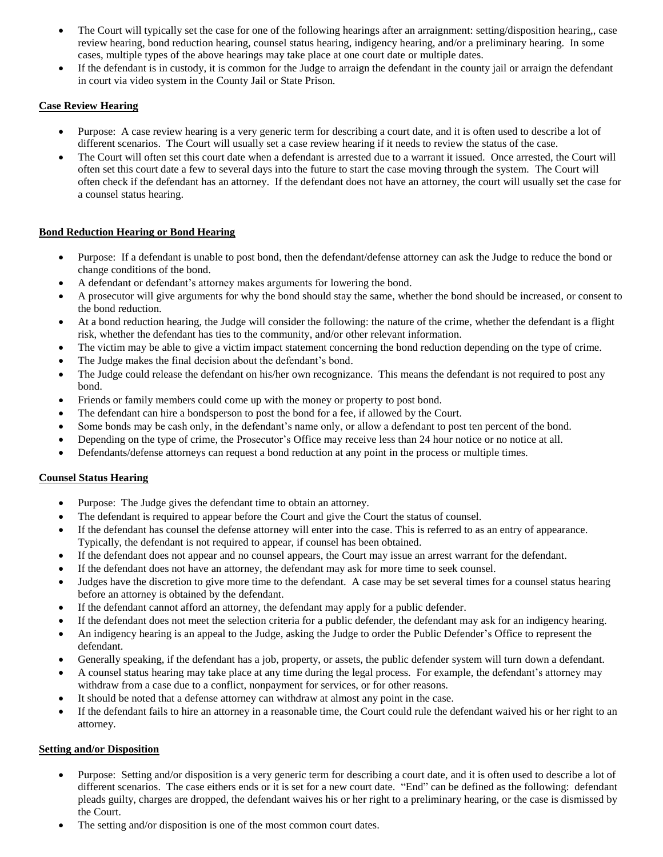- The Court will typically set the case for one of the following hearings after an arraignment: setting/disposition hearing,, case review hearing, bond reduction hearing, counsel status hearing, indigency hearing, and/or a preliminary hearing. In some cases, multiple types of the above hearings may take place at one court date or multiple dates.
- If the defendant is in custody, it is common for the Judge to arraign the defendant in the county jail or arraign the defendant in court via video system in the County Jail or State Prison.

#### **Case Review Hearing**

- Purpose: A case review hearing is a very generic term for describing a court date, and it is often used to describe a lot of different scenarios. The Court will usually set a case review hearing if it needs to review the status of the case.
- The Court will often set this court date when a defendant is arrested due to a warrant it issued. Once arrested, the Court will often set this court date a few to several days into the future to start the case moving through the system. The Court will often check if the defendant has an attorney. If the defendant does not have an attorney, the court will usually set the case for a counsel status hearing.

#### **Bond Reduction Hearing or Bond Hearing**

- Purpose: If a defendant is unable to post bond, then the defendant/defense attorney can ask the Judge to reduce the bond or change conditions of the bond.
- A defendant or defendant's attorney makes arguments for lowering the bond.
- A prosecutor will give arguments for why the bond should stay the same, whether the bond should be increased, or consent to the bond reduction.
- At a bond reduction hearing, the Judge will consider the following: the nature of the crime, whether the defendant is a flight risk, whether the defendant has ties to the community, and/or other relevant information.
- The victim may be able to give a victim impact statement concerning the bond reduction depending on the type of crime.
- The Judge makes the final decision about the defendant's bond.
- The Judge could release the defendant on his/her own recognizance. This means the defendant is not required to post any bond.
- Friends or family members could come up with the money or property to post bond.
- The defendant can hire a bondsperson to post the bond for a fee, if allowed by the Court.
- Some bonds may be cash only, in the defendant's name only, or allow a defendant to post ten percent of the bond.
- Depending on the type of crime, the Prosecutor's Office may receive less than 24 hour notice or no notice at all.
- Defendants/defense attorneys can request a bond reduction at any point in the process or multiple times.

#### **Counsel Status Hearing**

- Purpose: The Judge gives the defendant time to obtain an attorney.
- The defendant is required to appear before the Court and give the Court the status of counsel.
- If the defendant has counsel the defense attorney will enter into the case. This is referred to as an entry of appearance. Typically, the defendant is not required to appear, if counsel has been obtained.
- If the defendant does not appear and no counsel appears, the Court may issue an arrest warrant for the defendant.
- If the defendant does not have an attorney, the defendant may ask for more time to seek counsel.
- Judges have the discretion to give more time to the defendant. A case may be set several times for a counsel status hearing before an attorney is obtained by the defendant.
- If the defendant cannot afford an attorney, the defendant may apply for a public defender.
- If the defendant does not meet the selection criteria for a public defender, the defendant may ask for an indigency hearing.
- An indigency hearing is an appeal to the Judge, asking the Judge to order the Public Defender's Office to represent the defendant.
- Generally speaking, if the defendant has a job, property, or assets, the public defender system will turn down a defendant.
- A counsel status hearing may take place at any time during the legal process. For example, the defendant's attorney may withdraw from a case due to a conflict, nonpayment for services, or for other reasons.
- It should be noted that a defense attorney can withdraw at almost any point in the case.
- If the defendant fails to hire an attorney in a reasonable time, the Court could rule the defendant waived his or her right to an attorney.

## **Setting and/or Disposition**

- Purpose: Setting and/or disposition is a very generic term for describing a court date, and it is often used to describe a lot of different scenarios. The case eithers ends or it is set for a new court date. "End" can be defined as the following: defendant pleads guilty, charges are dropped, the defendant waives his or her right to a preliminary hearing, or the case is dismissed by the Court.
- The setting and/or disposition is one of the most common court dates.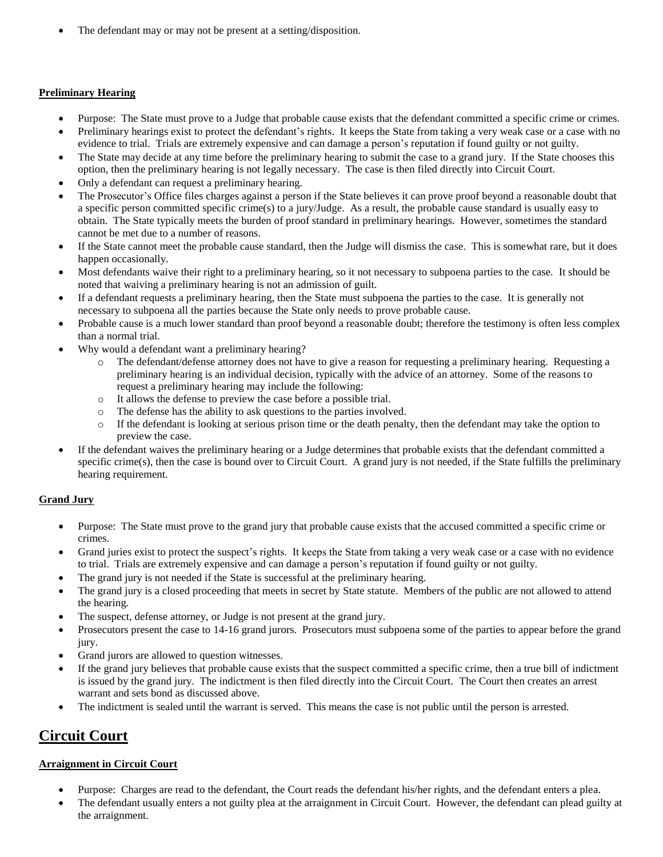The defendant may or may not be present at a setting/disposition.

#### **Preliminary Hearing**

- Purpose: The State must prove to a Judge that probable cause exists that the defendant committed a specific crime or crimes.
- Preliminary hearings exist to protect the defendant's rights. It keeps the State from taking a very weak case or a case with no evidence to trial. Trials are extremely expensive and can damage a person's reputation if found guilty or not guilty.
- The State may decide at any time before the preliminary hearing to submit the case to a grand jury. If the State chooses this option, then the preliminary hearing is not legally necessary. The case is then filed directly into Circuit Court.
- Only a defendant can request a preliminary hearing.
- The Prosecutor's Office files charges against a person if the State believes it can prove proof beyond a reasonable doubt that a specific person committed specific crime(s) to a jury/Judge. As a result, the probable cause standard is usually easy to obtain. The State typically meets the burden of proof standard in preliminary hearings. However, sometimes the standard cannot be met due to a number of reasons.
- If the State cannot meet the probable cause standard, then the Judge will dismiss the case. This is somewhat rare, but it does happen occasionally.
- Most defendants waive their right to a preliminary hearing, so it not necessary to subpoena parties to the case. It should be noted that waiving a preliminary hearing is not an admission of guilt.
- If a defendant requests a preliminary hearing, then the State must subpoena the parties to the case. It is generally not necessary to subpoena all the parties because the State only needs to prove probable cause.
- Probable cause is a much lower standard than proof beyond a reasonable doubt; therefore the testimony is often less complex than a normal trial.
- Why would a defendant want a preliminary hearing?
	- o The defendant/defense attorney does not have to give a reason for requesting a preliminary hearing. Requesting a preliminary hearing is an individual decision, typically with the advice of an attorney. Some of the reasons to request a preliminary hearing may include the following:
	- o It allows the defense to preview the case before a possible trial.
	- o The defense has the ability to ask questions to the parties involved.
	- o If the defendant is looking at serious prison time or the death penalty, then the defendant may take the option to preview the case.
- If the defendant waives the preliminary hearing or a Judge determines that probable exists that the defendant committed a specific crime(s), then the case is bound over to Circuit Court. A grand jury is not needed, if the State fulfills the preliminary hearing requirement.

## **Grand Jury**

- Purpose: The State must prove to the grand jury that probable cause exists that the accused committed a specific crime or crimes.
- Grand juries exist to protect the suspect's rights. It keeps the State from taking a very weak case or a case with no evidence to trial. Trials are extremely expensive and can damage a person's reputation if found guilty or not guilty.
- The grand jury is not needed if the State is successful at the preliminary hearing.
- The grand jury is a closed proceeding that meets in secret by State statute. Members of the public are not allowed to attend the hearing.
- The suspect, defense attorney, or Judge is not present at the grand jury.
- Prosecutors present the case to 14-16 grand jurors. Prosecutors must subpoena some of the parties to appear before the grand jury.
- Grand jurors are allowed to question witnesses.
- If the grand jury believes that probable cause exists that the suspect committed a specific crime, then a true bill of indictment is issued by the grand jury. The indictment is then filed directly into the Circuit Court. The Court then creates an arrest warrant and sets bond as discussed above.
- The indictment is sealed until the warrant is served. This means the case is not public until the person is arrested.

# **Circuit Court**

## **Arraignment in Circuit Court**

- Purpose: Charges are read to the defendant, the Court reads the defendant his/her rights, and the defendant enters a plea.
- The defendant usually enters a not guilty plea at the arraignment in Circuit Court. However, the defendant can plead guilty at the arraignment.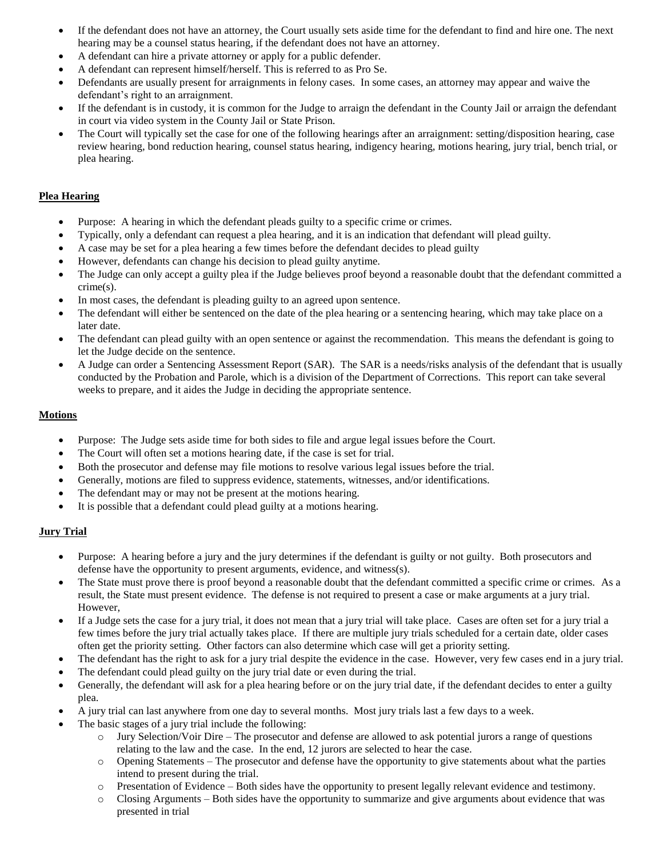- If the defendant does not have an attorney, the Court usually sets aside time for the defendant to find and hire one. The next hearing may be a counsel status hearing, if the defendant does not have an attorney.
- A defendant can hire a private attorney or apply for a public defender.
- A defendant can represent himself/herself. This is referred to as Pro Se.
- Defendants are usually present for arraignments in felony cases. In some cases, an attorney may appear and waive the defendant's right to an arraignment.
- If the defendant is in custody, it is common for the Judge to arraign the defendant in the County Jail or arraign the defendant in court via video system in the County Jail or State Prison.
- The Court will typically set the case for one of the following hearings after an arraignment: setting/disposition hearing, case review hearing, bond reduction hearing, counsel status hearing, indigency hearing, motions hearing, jury trial, bench trial, or plea hearing.

#### **Plea Hearing**

- Purpose: A hearing in which the defendant pleads guilty to a specific crime or crimes.
- Typically, only a defendant can request a plea hearing, and it is an indication that defendant will plead guilty.
- A case may be set for a plea hearing a few times before the defendant decides to plead guilty
- However, defendants can change his decision to plead guilty anytime.
- The Judge can only accept a guilty plea if the Judge believes proof beyond a reasonable doubt that the defendant committed a crime(s).
- In most cases, the defendant is pleading guilty to an agreed upon sentence.
- The defendant will either be sentenced on the date of the plea hearing or a sentencing hearing, which may take place on a later date.
- The defendant can plead guilty with an open sentence or against the recommendation. This means the defendant is going to let the Judge decide on the sentence.
- A Judge can order a Sentencing Assessment Report (SAR). The SAR is a needs/risks analysis of the defendant that is usually conducted by the Probation and Parole, which is a division of the Department of Corrections. This report can take several weeks to prepare, and it aides the Judge in deciding the appropriate sentence.

#### **Motions**

- Purpose: The Judge sets aside time for both sides to file and argue legal issues before the Court.
- The Court will often set a motions hearing date, if the case is set for trial.
- Both the prosecutor and defense may file motions to resolve various legal issues before the trial.
- Generally, motions are filed to suppress evidence, statements, witnesses, and/or identifications.
- The defendant may or may not be present at the motions hearing.
- It is possible that a defendant could plead guilty at a motions hearing.

#### **Jury Trial**

- Purpose: A hearing before a jury and the jury determines if the defendant is guilty or not guilty. Both prosecutors and defense have the opportunity to present arguments, evidence, and witness(s).
- The State must prove there is proof beyond a reasonable doubt that the defendant committed a specific crime or crimes. As a result, the State must present evidence. The defense is not required to present a case or make arguments at a jury trial. However,
- If a Judge sets the case for a jury trial, it does not mean that a jury trial will take place. Cases are often set for a jury trial a few times before the jury trial actually takes place. If there are multiple jury trials scheduled for a certain date, older cases often get the priority setting. Other factors can also determine which case will get a priority setting.
- The defendant has the right to ask for a jury trial despite the evidence in the case. However, very few cases end in a jury trial.
- The defendant could plead guilty on the jury trial date or even during the trial.
- Generally, the defendant will ask for a plea hearing before or on the jury trial date, if the defendant decides to enter a guilty plea.
- A jury trial can last anywhere from one day to several months. Most jury trials last a few days to a week.
- The basic stages of a jury trial include the following:
	- o Jury Selection/Voir Dire The prosecutor and defense are allowed to ask potential jurors a range of questions relating to the law and the case. In the end, 12 jurors are selected to hear the case.
	- o Opening Statements The prosecutor and defense have the opportunity to give statements about what the parties intend to present during the trial.
	- o Presentation of Evidence Both sides have the opportunity to present legally relevant evidence and testimony.
	- o Closing Arguments Both sides have the opportunity to summarize and give arguments about evidence that was presented in trial